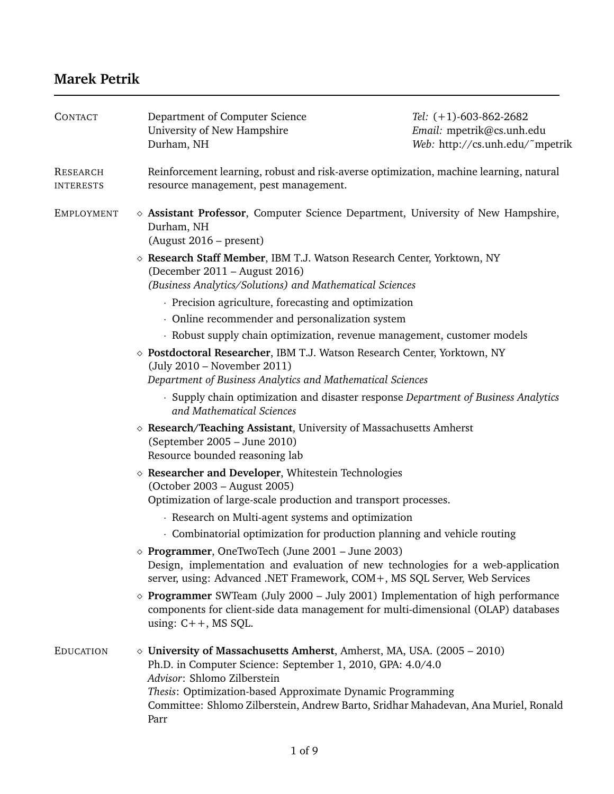# **Marek Petrik**

| <b>CONTACT</b>                      | Department of Computer Science<br>University of New Hampshire<br>Durham, NH                                                                                                                                                                | Tel: $(+1)$ -603-862-2682<br>Email: mpetrik@cs.unh.edu<br>Web: http://cs.unh.edu/~mpetrik |
|-------------------------------------|--------------------------------------------------------------------------------------------------------------------------------------------------------------------------------------------------------------------------------------------|-------------------------------------------------------------------------------------------|
| <b>RESEARCH</b><br><b>INTERESTS</b> | Reinforcement learning, robust and risk-averse optimization, machine learning, natural<br>resource management, pest management.                                                                                                            |                                                                                           |
| <b>EMPLOYMENT</b>                   | $\diamond$ Assistant Professor, Computer Science Department, University of New Hampshire,<br>Durham, NH<br>(August 2016 – present)                                                                                                         |                                                                                           |
|                                     | ◇ Research Staff Member, IBM T.J. Watson Research Center, Yorktown, NY<br>(December 2011 – August 2016)<br>(Business Analytics/Solutions) and Mathematical Sciences                                                                        |                                                                                           |
|                                     | · Precision agriculture, forecasting and optimization                                                                                                                                                                                      |                                                                                           |
|                                     | • Online recommender and personalization system                                                                                                                                                                                            |                                                                                           |
|                                     | · Robust supply chain optimization, revenue management, customer models                                                                                                                                                                    |                                                                                           |
|                                     | $\diamond$ Postdoctoral Researcher, IBM T.J. Watson Research Center, Yorktown, NY<br>(July 2010 – November 2011)<br>Department of Business Analytics and Mathematical Sciences                                                             |                                                                                           |
|                                     | and Mathematical Sciences                                                                                                                                                                                                                  | · Supply chain optimization and disaster response Department of Business Analytics        |
|                                     | $\diamond$ Research/Teaching Assistant, University of Massachusetts Amherst<br>(September 2005 - June 2010)<br>Resource bounded reasoning lab                                                                                              |                                                                                           |
|                                     | $\diamond$ Researcher and Developer, Whitestein Technologies<br>(October 2003 – August 2005)<br>Optimization of large-scale production and transport processes.                                                                            |                                                                                           |
|                                     | · Research on Multi-agent systems and optimization                                                                                                                                                                                         |                                                                                           |
|                                     | Combinatorial optimization for production planning and vehicle routing                                                                                                                                                                     |                                                                                           |
|                                     | $\diamond$ Programmer, OneTwoTech (June 2001 – June 2003)<br>Design, implementation and evaluation of new technologies for a web-application<br>server, using: Advanced .NET Framework, COM+, MS SQL Server, Web Services                  |                                                                                           |
|                                     | $\diamond$ Programmer SWTeam (July 2000 – July 2001) Implementation of high performance<br>components for client-side data management for multi-dimensional (OLAP) databases<br>using: $C++$ , MS SQL.                                     |                                                                                           |
| <b>EDUCATION</b>                    | $\diamond$ University of Massachusetts Amherst, Amherst, MA, USA. (2005 – 2010)<br>Ph.D. in Computer Science: September 1, 2010, GPA: 4.0/4.0<br>Advisor: Shlomo Zilberstein<br>Thesis: Optimization-based Approximate Dynamic Programming |                                                                                           |
|                                     | Committee: Shlomo Zilberstein, Andrew Barto, Sridhar Mahadevan, Ana Muriel, Ronald<br>Parr                                                                                                                                                 |                                                                                           |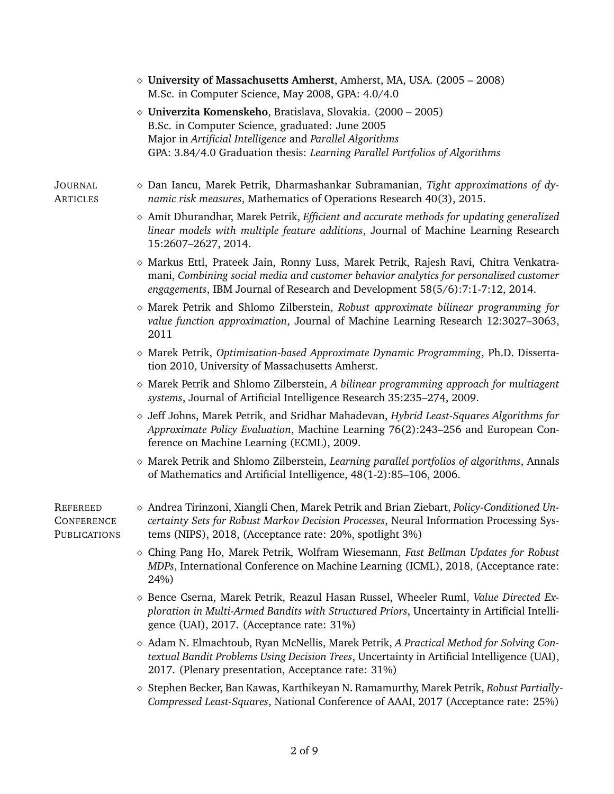|                                                      | $\diamond$ University of Massachusetts Amherst, Amherst, MA, USA. (2005 – 2008)<br>M.Sc. in Computer Science, May 2008, GPA: 4.0/4.0                                                                                                                            |
|------------------------------------------------------|-----------------------------------------------------------------------------------------------------------------------------------------------------------------------------------------------------------------------------------------------------------------|
|                                                      | $\diamond$ Univerzita Komenskeho, Bratislava, Slovakia. (2000 – 2005)<br>B.Sc. in Computer Science, graduated: June 2005                                                                                                                                        |
|                                                      | Major in Artificial Intelligence and Parallel Algorithms<br>GPA: 3.84/4.0 Graduation thesis: Learning Parallel Portfolios of Algorithms                                                                                                                         |
| <b>JOURNAL</b><br><b>ARTICLES</b>                    | $\diamond$ Dan Iancu, Marek Petrik, Dharmashankar Subramanian, Tight approximations of dy-<br>namic risk measures, Mathematics of Operations Research 40(3), 2015.                                                                                              |
|                                                      | $\diamond$ Amit Dhurandhar, Marek Petrik, <i>Efficient and accurate methods for updating generalized</i><br>linear models with multiple feature additions, Journal of Machine Learning Research<br>15:2607-2627, 2014.                                          |
|                                                      | ◇ Markus Ettl, Prateek Jain, Ronny Luss, Marek Petrik, Rajesh Ravi, Chitra Venkatra-<br>mani, Combining social media and customer behavior analytics for personalized customer<br>engagements, IBM Journal of Research and Development 58(5/6):7:1-7:12, 2014.  |
|                                                      | $\diamond$ Marek Petrik and Shlomo Zilberstein, Robust approximate bilinear programming for<br>value function approximation, Journal of Machine Learning Research 12:3027-3063,<br>2011                                                                         |
|                                                      | $\diamond$ Marek Petrik, Optimization-based Approximate Dynamic Programming, Ph.D. Disserta-<br>tion 2010, University of Massachusetts Amherst.                                                                                                                 |
|                                                      | $\diamond$ Marek Petrik and Shlomo Zilberstein, A bilinear programming approach for multiagent<br>systems, Journal of Artificial Intelligence Research 35:235-274, 2009.                                                                                        |
|                                                      | $\diamond$ Jeff Johns, Marek Petrik, and Sridhar Mahadevan, Hybrid Least-Squares Algorithms for<br>Approximate Policy Evaluation, Machine Learning 76(2):243–256 and European Con-<br>ference on Machine Learning (ECML), 2009.                                 |
|                                                      | $\diamond$ Marek Petrik and Shlomo Zilberstein, Learning parallel portfolios of algorithms, Annals<br>of Mathematics and Artificial Intelligence, 48(1-2):85-106, 2006.                                                                                         |
| <b>REFEREED</b><br><b>CONFERENCE</b><br>PUBLICATIONS | $\diamond$ Andrea Tirinzoni, Xiangli Chen, Marek Petrik and Brian Ziebart, <i>Policy-Conditioned Un</i> -<br>certainty Sets for Robust Markov Decision Processes, Neural Information Processing Sys-<br>tems (NIPS), 2018, (Acceptance rate: 20%, spotlight 3%) |
|                                                      | ◇ Ching Pang Ho, Marek Petrik, Wolfram Wiesemann, Fast Bellman Updates for Robust<br>MDPs, International Conference on Machine Learning (ICML), 2018, (Acceptance rate:<br>24%)                                                                                 |
|                                                      | $\diamond$ Bence Cserna, Marek Petrik, Reazul Hasan Russel, Wheeler Ruml, Value Directed Ex-<br>ploration in Multi-Armed Bandits with Structured Priors, Uncertainty in Artificial Intelli-<br>gence (UAI), 2017. (Acceptance rate: 31%)                        |
|                                                      | $\diamond$ Adam N. Elmachtoub, Ryan McNellis, Marek Petrik, A Practical Method for Solving Con-<br>textual Bandit Problems Using Decision Trees, Uncertainty in Artificial Intelligence (UAI),<br>2017. (Plenary presentation, Acceptance rate: 31%)            |
|                                                      | $\diamond$ Stephen Becker, Ban Kawas, Karthikeyan N. Ramamurthy, Marek Petrik, Robust Partially-                                                                                                                                                                |

*Compressed Least-Squares*, National Conference of AAAI, 2017 (Acceptance rate: 25%)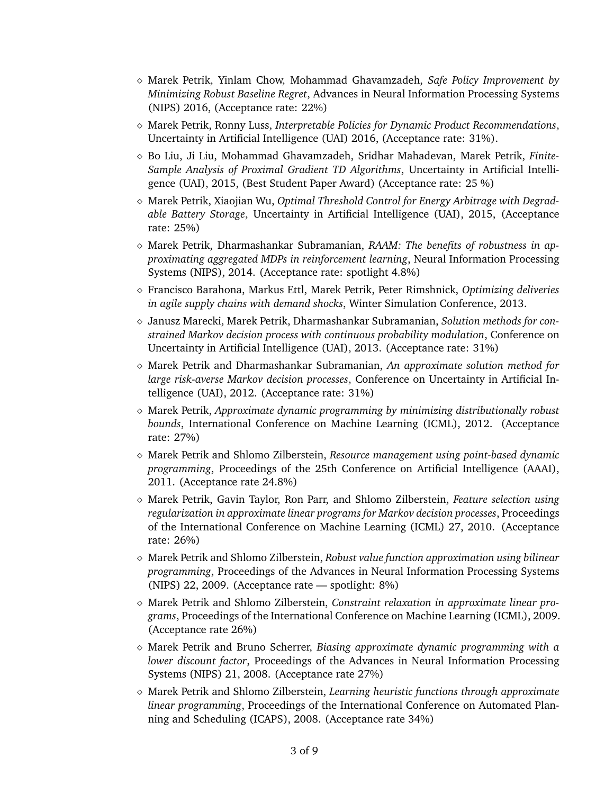- Marek Petrik, Yinlam Chow, Mohammad Ghavamzadeh, *Safe Policy Improvement by Minimizing Robust Baseline Regret*, Advances in Neural Information Processing Systems (NIPS) 2016, (Acceptance rate: 22%)
- Marek Petrik, Ronny Luss, *Interpretable Policies for Dynamic Product Recommendations*, Uncertainty in Artificial Intelligence (UAI) 2016, (Acceptance rate: 31%).
- Bo Liu, Ji Liu, Mohammad Ghavamzadeh, Sridhar Mahadevan, Marek Petrik, *Finite-Sample Analysis of Proximal Gradient TD Algorithms*, Uncertainty in Artificial Intelligence (UAI), 2015, (Best Student Paper Award) (Acceptance rate: 25 %)
- Marek Petrik, Xiaojian Wu, *Optimal Threshold Control for Energy Arbitrage with Degradable Battery Storage*, Uncertainty in Artificial Intelligence (UAI), 2015, (Acceptance rate: 25%)
- Marek Petrik, Dharmashankar Subramanian, *RAAM: The benefits of robustness in approximating aggregated MDPs in reinforcement learning*, Neural Information Processing Systems (NIPS), 2014. (Acceptance rate: spotlight 4.8%)
- Francisco Barahona, Markus Ettl, Marek Petrik, Peter Rimshnick, *Optimizing deliveries in agile supply chains with demand shocks*, Winter Simulation Conference, 2013.
- Janusz Marecki, Marek Petrik, Dharmashankar Subramanian, *Solution methods for constrained Markov decision process with continuous probability modulation*, Conference on Uncertainty in Artificial Intelligence (UAI), 2013. (Acceptance rate: 31%)
- Marek Petrik and Dharmashankar Subramanian, *An approximate solution method for large risk-averse Markov decision processes*, Conference on Uncertainty in Artificial Intelligence (UAI), 2012. (Acceptance rate: 31%)
- Marek Petrik, *Approximate dynamic programming by minimizing distributionally robust bounds*, International Conference on Machine Learning (ICML), 2012. (Acceptance rate: 27%)
- Marek Petrik and Shlomo Zilberstein, *Resource management using point-based dynamic programming*, Proceedings of the 25th Conference on Artificial Intelligence (AAAI), 2011. (Acceptance rate 24.8%)
- Marek Petrik, Gavin Taylor, Ron Parr, and Shlomo Zilberstein, *Feature selection using regularization in approximate linear programs for Markov decision processes*, Proceedings of the International Conference on Machine Learning (ICML) 27, 2010. (Acceptance rate: 26%)
- Marek Petrik and Shlomo Zilberstein, *Robust value function approximation using bilinear programming*, Proceedings of the Advances in Neural Information Processing Systems (NIPS) 22, 2009. (Acceptance rate — spotlight: 8%)
- Marek Petrik and Shlomo Zilberstein, *Constraint relaxation in approximate linear programs*, Proceedings of the International Conference on Machine Learning (ICML), 2009. (Acceptance rate 26%)
- Marek Petrik and Bruno Scherrer, *Biasing approximate dynamic programming with a lower discount factor*, Proceedings of the Advances in Neural Information Processing Systems (NIPS) 21, 2008. (Acceptance rate 27%)
- Marek Petrik and Shlomo Zilberstein, *Learning heuristic functions through approximate linear programming*, Proceedings of the International Conference on Automated Planning and Scheduling (ICAPS), 2008. (Acceptance rate 34%)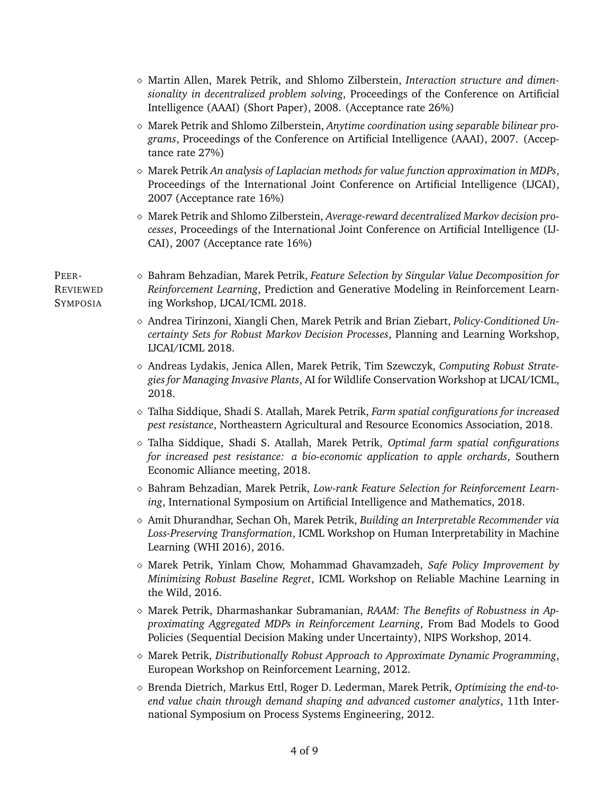|                                             | $\diamond$ Martin Allen, Marek Petrik, and Shlomo Zilberstein, Interaction structure and dimen-<br>sionality in decentralized problem solving, Proceedings of the Conference on Artificial<br>Intelligence (AAAI) (Short Paper), 2008. (Acceptance rate 26%)   |
|---------------------------------------------|----------------------------------------------------------------------------------------------------------------------------------------------------------------------------------------------------------------------------------------------------------------|
|                                             | $\diamond$ Marek Petrik and Shlomo Zilberstein, Anytime coordination using separable bilinear pro-<br>grams, Proceedings of the Conference on Artificial Intelligence (AAAI), 2007. (Accep-<br>tance rate 27%)                                                 |
|                                             | $\diamond$ Marek Petrik An analysis of Laplacian methods for value function approximation in MDPs,<br>Proceedings of the International Joint Conference on Artificial Intelligence (IJCAI),<br>2007 (Acceptance rate 16%)                                      |
|                                             | ◇ Marek Petrik and Shlomo Zilberstein, Average-reward decentralized Markov decision pro-<br>cesses, Proceedings of the International Joint Conference on Artificial Intelligence (IJ-<br>CAI), 2007 (Acceptance rate 16%)                                      |
| PEER-<br><b>REVIEWED</b><br><b>SYMPOSIA</b> | $\diamond$ Bahram Behzadian, Marek Petrik, Feature Selection by Singular Value Decomposition for<br>Reinforcement Learning, Prediction and Generative Modeling in Reinforcement Learn-<br>ing Workshop, IJCAI/ICML 2018.                                       |
|                                             | $\diamond$ Andrea Tirinzoni, Xiangli Chen, Marek Petrik and Brian Ziebart, <i>Policy-Conditioned Un</i> -<br>certainty Sets for Robust Markov Decision Processes, Planning and Learning Workshop,<br>IJCAI/ICML 2018.                                          |
|                                             | $\diamond$ Andreas Lydakis, Jenica Allen, Marek Petrik, Tim Szewczyk, Computing Robust Strate-<br>gies for Managing Invasive Plants, AI for Wildlife Conservation Workshop at IJCAI/ICML,<br>2018.                                                             |
|                                             | ◇ Talha Siddique, Shadi S. Atallah, Marek Petrik, Farm spatial configurations for increased<br>pest resistance, Northeastern Agricultural and Resource Economics Association, 2018.                                                                            |
|                                             | $\diamond$ Talha Siddique, Shadi S. Atallah, Marek Petrik, Optimal farm spatial configurations<br>for increased pest resistance: a bio-economic application to apple orchards, Southern<br>Economic Alliance meeting, 2018.                                    |
|                                             | $\diamond$ Bahram Behzadian, Marek Petrik, Low-rank Feature Selection for Reinforcement Learn-<br>ing, International Symposium on Artificial Intelligence and Mathematics, 2018.                                                                               |
|                                             | ◇ Amit Dhurandhar, Sechan Oh, Marek Petrik, Building an Interpretable Recommender via<br>Loss-Preserving Transformation, ICML Workshop on Human Interpretability in Machine<br>Learning (WHI 2016), 2016.                                                      |
|                                             | $\diamond$ Marek Petrik, Yinlam Chow, Mohammad Ghavamzadeh, Safe Policy Improvement by<br>Minimizing Robust Baseline Regret, ICML Workshop on Reliable Machine Learning in<br>the Wild, 2016.                                                                  |
|                                             | $\diamond$ Marek Petrik, Dharmashankar Subramanian, RAAM: The Benefits of Robustness in Ap-<br>proximating Aggregated MDPs in Reinforcement Learning, From Bad Models to Good<br>Policies (Sequential Decision Making under Uncertainty), NIPS Workshop, 2014. |
|                                             | $\diamond$ Marek Petrik, Distributionally Robust Approach to Approximate Dynamic Programming,<br>European Workshop on Reinforcement Learning, 2012.                                                                                                            |
|                                             | $\diamond$ Brenda Dietrich, Markus Ettl, Roger D. Lederman, Marek Petrik, Optimizing the end-to-<br>end value chain through demand shaping and advanced customer analytics, 11th Inter-<br>national Symposium on Process Systems Engineering, 2012.            |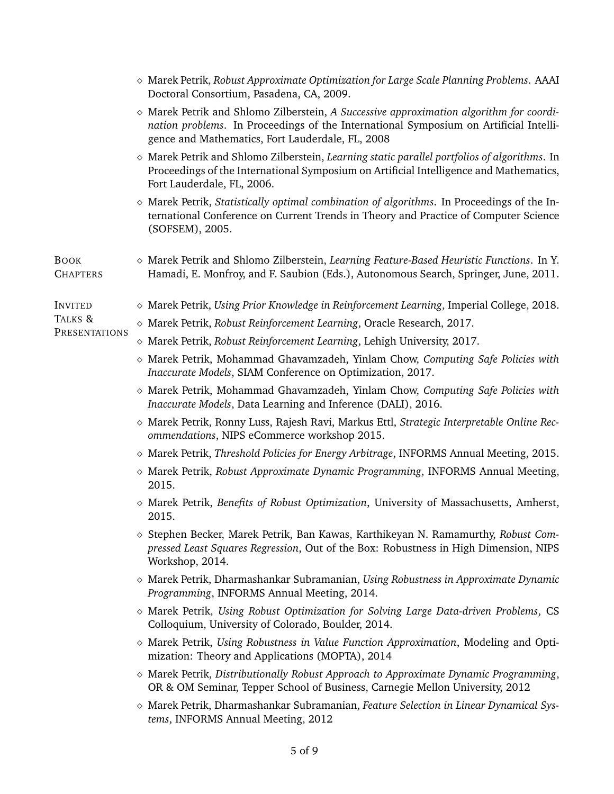|                                | $\diamond$ Marek Petrik, Robust Approximate Optimization for Large Scale Planning Problems. AAAI<br>Doctoral Consortium, Pasadena, CA, 2009.                                                                                                  |
|--------------------------------|-----------------------------------------------------------------------------------------------------------------------------------------------------------------------------------------------------------------------------------------------|
|                                | $\diamond$ Marek Petrik and Shlomo Zilberstein, A Successive approximation algorithm for coordi-<br>nation problems. In Proceedings of the International Symposium on Artificial Intelli-<br>gence and Mathematics, Fort Lauderdale, FL, 2008 |
|                                | $\diamond$ Marek Petrik and Shlomo Zilberstein, Learning static parallel portfolios of algorithms. In<br>Proceedings of the International Symposium on Artificial Intelligence and Mathematics,<br>Fort Lauderdale, FL, 2006.                 |
|                                | $\diamond$ Marek Petrik, Statistically optimal combination of algorithms. In Proceedings of the In-<br>ternational Conference on Current Trends in Theory and Practice of Computer Science<br>(SOFSEM), 2005.                                 |
| <b>BOOK</b><br><b>CHAPTERS</b> | $\diamond$ Marek Petrik and Shlomo Zilberstein, Learning Feature-Based Heuristic Functions. In Y.<br>Hamadi, E. Monfroy, and F. Saubion (Eds.), Autonomous Search, Springer, June, 2011.                                                      |
| <b>INVITED</b>                 | $\diamond$ Marek Petrik, Using Prior Knowledge in Reinforcement Learning, Imperial College, 2018.                                                                                                                                             |
| TALKS &                        | $\diamond$ Marek Petrik, Robust Reinforcement Learning, Oracle Research, 2017.                                                                                                                                                                |
| PRESENTATIONS                  | $\diamond$ Marek Petrik, Robust Reinforcement Learning, Lehigh University, 2017.                                                                                                                                                              |
|                                | $\diamond$ Marek Petrik, Mohammad Ghavamzadeh, Yinlam Chow, Computing Safe Policies with<br>Inaccurate Models, SIAM Conference on Optimization, 2017.                                                                                         |
|                                | $\diamond$ Marek Petrik, Mohammad Ghavamzadeh, Yinlam Chow, Computing Safe Policies with<br>Inaccurate Models, Data Learning and Inference (DALI), 2016.                                                                                      |
|                                | ◇ Marek Petrik, Ronny Luss, Rajesh Ravi, Markus Ettl, Strategic Interpretable Online Rec-<br>ommendations, NIPS eCommerce workshop 2015.                                                                                                      |
|                                | $\diamond$ Marek Petrik, Threshold Policies for Energy Arbitrage, INFORMS Annual Meeting, 2015.                                                                                                                                               |
|                                | $\diamond$ Marek Petrik, Robust Approximate Dynamic Programming, INFORMS Annual Meeting,<br>2015.                                                                                                                                             |
|                                | $\diamond$ Marek Petrik, Benefits of Robust Optimization, University of Massachusetts, Amherst,<br>2015.                                                                                                                                      |
|                                | $\diamond$ Stephen Becker, Marek Petrik, Ban Kawas, Karthikeyan N. Ramamurthy, Robust Com-<br>pressed Least Squares Regression, Out of the Box: Robustness in High Dimension, NIPS<br>Workshop, 2014.                                         |
|                                | $\diamond$ Marek Petrik, Dharmashankar Subramanian, Using Robustness in Approximate Dynamic<br>Programming, INFORMS Annual Meeting, 2014.                                                                                                     |
|                                | $\diamond$ Marek Petrik, Using Robust Optimization for Solving Large Data-driven Problems, CS<br>Colloquium, University of Colorado, Boulder, 2014.                                                                                           |
|                                | $\diamond$ Marek Petrik, Using Robustness in Value Function Approximation, Modeling and Opti-<br>mization: Theory and Applications (MOPTA), 2014                                                                                              |
|                                | $\diamond$ Marek Petrik, Distributionally Robust Approach to Approximate Dynamic Programming,<br>OR & OM Seminar, Tepper School of Business, Carnegie Mellon University, 2012                                                                 |
|                                | $\diamond$ Marek Petrik, Dharmashankar Subramanian, Feature Selection in Linear Dynamical Sys-<br>tems, INFORMS Annual Meeting, 2012                                                                                                          |
|                                |                                                                                                                                                                                                                                               |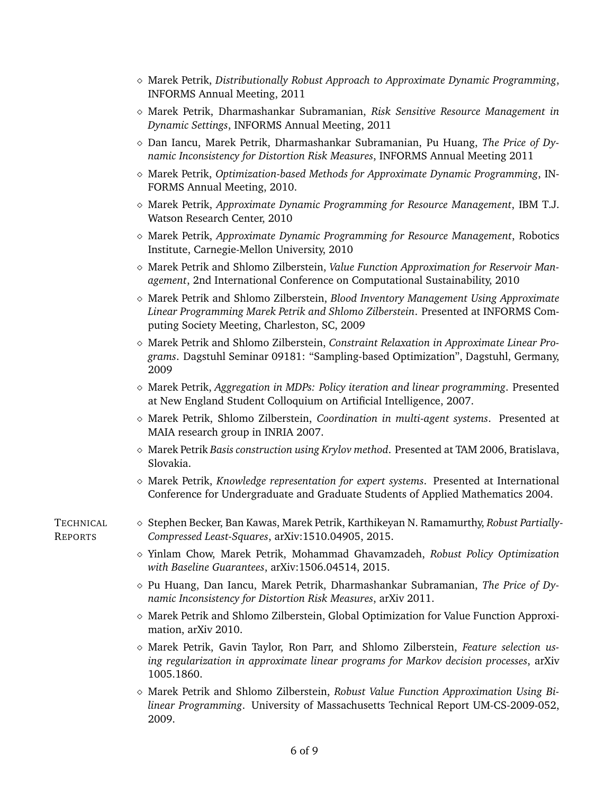- Marek Petrik, *Distributionally Robust Approach to Approximate Dynamic Programming*, INFORMS Annual Meeting, 2011
- Marek Petrik, Dharmashankar Subramanian, *Risk Sensitive Resource Management in Dynamic Settings*, INFORMS Annual Meeting, 2011
- Dan Iancu, Marek Petrik, Dharmashankar Subramanian, Pu Huang, *The Price of Dynamic Inconsistency for Distortion Risk Measures*, INFORMS Annual Meeting 2011
- Marek Petrik, *Optimization-based Methods for Approximate Dynamic Programming*, IN-FORMS Annual Meeting, 2010.
- Marek Petrik, *Approximate Dynamic Programming for Resource Management*, IBM T.J. Watson Research Center, 2010
- Marek Petrik, *Approximate Dynamic Programming for Resource Management*, Robotics Institute, Carnegie-Mellon University, 2010
- Marek Petrik and Shlomo Zilberstein, *Value Function Approximation for Reservoir Management*, 2nd International Conference on Computational Sustainability, 2010
- Marek Petrik and Shlomo Zilberstein, *Blood Inventory Management Using Approximate Linear Programming Marek Petrik and Shlomo Zilberstein*. Presented at INFORMS Computing Society Meeting, Charleston, SC, 2009
- Marek Petrik and Shlomo Zilberstein, *Constraint Relaxation in Approximate Linear Programs*. Dagstuhl Seminar 09181: "Sampling-based Optimization", Dagstuhl, Germany, 2009
- $\Diamond$  Marek Petrik, *Aggregation in MDPs: Policy iteration and linear programming. Presented* at New England Student Colloquium on Artificial Intelligence, 2007.
- Marek Petrik, Shlomo Zilberstein, *Coordination in multi-agent systems*. Presented at MAIA research group in INRIA 2007.
- Marek Petrik *Basis construction using Krylov method*. Presented at TAM 2006, Bratislava, Slovakia.
- Marek Petrik, *Knowledge representation for expert systems*. Presented at International Conference for Undergraduate and Graduate Students of Applied Mathematics 2004.
- 
- TECHNICAL  $\diamond$  Stephen Becker, Ban Kawas, Marek Petrik, Karthikeyan N. Ramamurthy, *Robust Partially*-REPORTS *Compressed Least-Squares*, arXiv:1510.04905, 2015.
	- Yinlam Chow, Marek Petrik, Mohammad Ghavamzadeh, *Robust Policy Optimization with Baseline Guarantees*, arXiv:1506.04514, 2015.
	- Pu Huang, Dan Iancu, Marek Petrik, Dharmashankar Subramanian, *The Price of Dynamic Inconsistency for Distortion Risk Measures*, arXiv 2011.
	- $\Diamond$  Marek Petrik and Shlomo Zilberstein, Global Optimization for Value Function Approximation, arXiv 2010.
	- Marek Petrik, Gavin Taylor, Ron Parr, and Shlomo Zilberstein, *Feature selection using regularization in approximate linear programs for Markov decision processes*, arXiv 1005.1860.
	- Marek Petrik and Shlomo Zilberstein, *Robust Value Function Approximation Using Bilinear Programming*. University of Massachusetts Technical Report UM-CS-2009-052, 2009.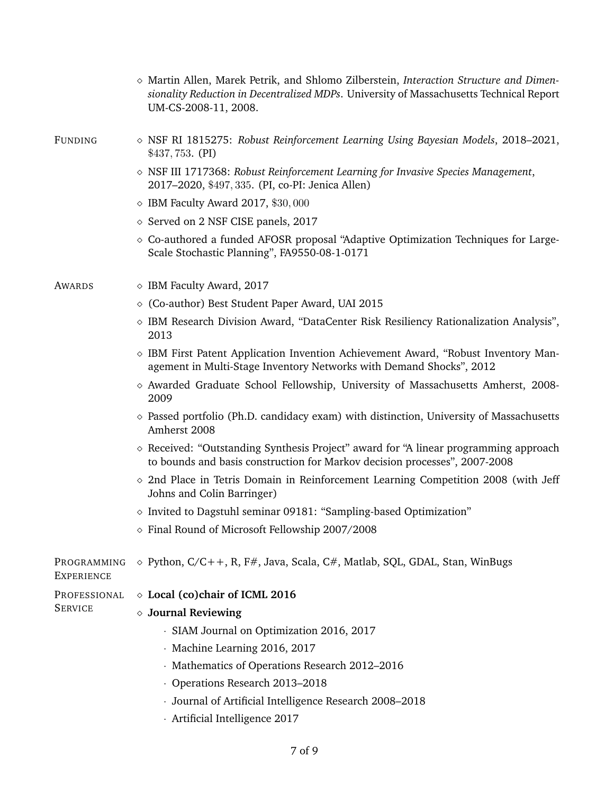|                                  | $\diamond$ Martin Allen, Marek Petrik, and Shlomo Zilberstein, Interaction Structure and Dimen-<br>sionality Reduction in Decentralized MDPs. University of Massachusetts Technical Report<br>UM-CS-2008-11, 2008. |  |  |
|----------------------------------|--------------------------------------------------------------------------------------------------------------------------------------------------------------------------------------------------------------------|--|--|
| <b>FUNDING</b>                   | $\diamond$ NSF RI 1815275: Robust Reinforcement Learning Using Bayesian Models, 2018–2021,<br>$$437,753.$ (PI)                                                                                                     |  |  |
|                                  | $\diamond$ NSF III 1717368: Robust Reinforcement Learning for Invasive Species Management,<br>2017-2020, \$497, 335. (PI, co-PI: Jenica Allen)                                                                     |  |  |
|                                  | $\diamond$ IBM Faculty Award 2017, \$30,000                                                                                                                                                                        |  |  |
|                                  | ◇ Served on 2 NSF CISE panels, 2017                                                                                                                                                                                |  |  |
|                                  | ◇ Co-authored a funded AFOSR proposal "Adaptive Optimization Techniques for Large-<br>Scale Stochastic Planning", FA9550-08-1-0171                                                                                 |  |  |
| AWARDS                           | $\diamond$ IBM Faculty Award, 2017                                                                                                                                                                                 |  |  |
|                                  | ◇ (Co-author) Best Student Paper Award, UAI 2015                                                                                                                                                                   |  |  |
|                                  | ◇ IBM Research Division Award, "DataCenter Risk Resiliency Rationalization Analysis",<br>2013                                                                                                                      |  |  |
|                                  | $\diamond$ IBM First Patent Application Invention Achievement Award, "Robust Inventory Man-<br>agement in Multi-Stage Inventory Networks with Demand Shocks", 2012                                                 |  |  |
|                                  | $\diamond$ Awarded Graduate School Fellowship, University of Massachusetts Amherst, 2008-<br>2009                                                                                                                  |  |  |
|                                  | $\diamond$ Passed portfolio (Ph.D. candidacy exam) with distinction, University of Massachusetts<br>Amherst 2008                                                                                                   |  |  |
|                                  | $\diamond$ Received: "Outstanding Synthesis Project" award for "A linear programming approach<br>to bounds and basis construction for Markov decision processes", 2007-2008                                        |  |  |
|                                  | $\circ$ 2nd Place in Tetris Domain in Reinforcement Learning Competition 2008 (with Jeff<br>Johns and Colin Barringer)                                                                                             |  |  |
|                                  | $\diamond$ Invited to Dagstuhl seminar 09181: "Sampling-based Optimization"                                                                                                                                        |  |  |
|                                  | $\diamond$ Final Round of Microsoft Fellowship 2007/2008                                                                                                                                                           |  |  |
| PROGRAMMING<br><b>EXPERIENCE</b> | $\diamond$ Python, C/C++, R, F#, Java, Scala, C#, Matlab, SQL, GDAL, Stan, WinBugs                                                                                                                                 |  |  |
| PROFESSIONAL                     | ◇ Local (co)chair of ICML 2016                                                                                                                                                                                     |  |  |
| <b>SERVICE</b>                   | $\diamond$ Journal Reviewing                                                                                                                                                                                       |  |  |
|                                  | · SIAM Journal on Optimization 2016, 2017                                                                                                                                                                          |  |  |
|                                  | · Machine Learning 2016, 2017                                                                                                                                                                                      |  |  |
|                                  | Mathematics of Operations Research 2012-2016                                                                                                                                                                       |  |  |
|                                  | Operations Research 2013-2018                                                                                                                                                                                      |  |  |
|                                  | · Journal of Artificial Intelligence Research 2008-2018                                                                                                                                                            |  |  |
|                                  | · Artificial Intelligence 2017                                                                                                                                                                                     |  |  |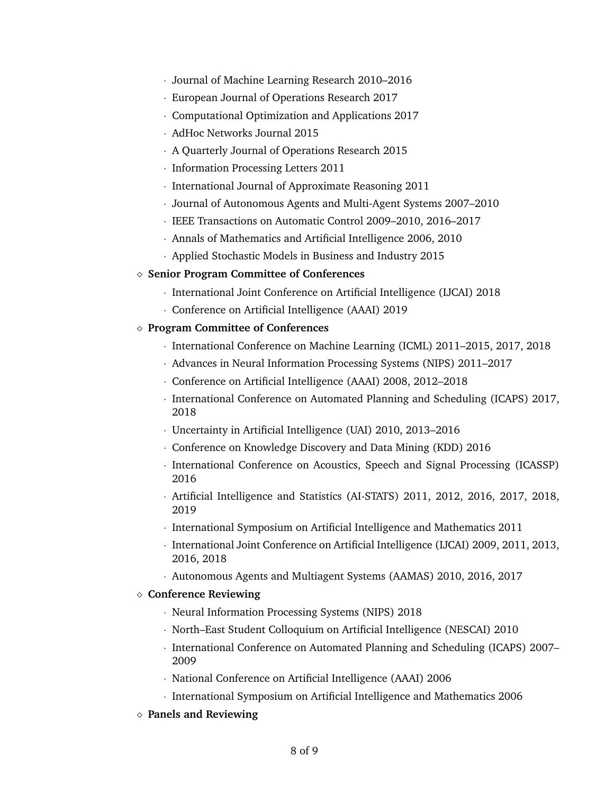- · Journal of Machine Learning Research 2010–2016
- · European Journal of Operations Research 2017
- · Computational Optimization and Applications 2017
- · AdHoc Networks Journal 2015
- · A Quarterly Journal of Operations Research 2015
- · Information Processing Letters 2011
- · International Journal of Approximate Reasoning 2011
- · Journal of Autonomous Agents and Multi-Agent Systems 2007–2010
- · IEEE Transactions on Automatic Control 2009–2010, 2016–2017
- · Annals of Mathematics and Artificial Intelligence 2006, 2010
- · Applied Stochastic Models in Business and Industry 2015

### **Senior Program Committee of Conferences**

- · International Joint Conference on Artificial Intelligence (IJCAI) 2018
- · Conference on Artificial Intelligence (AAAI) 2019

## **Program Committee of Conferences**

- · International Conference on Machine Learning (ICML) 2011–2015, 2017, 2018
- · Advances in Neural Information Processing Systems (NIPS) 2011–2017
- · Conference on Artificial Intelligence (AAAI) 2008, 2012–2018
- · International Conference on Automated Planning and Scheduling (ICAPS) 2017, 2018
- · Uncertainty in Artificial Intelligence (UAI) 2010, 2013–2016
- · Conference on Knowledge Discovery and Data Mining (KDD) 2016
- · International Conference on Acoustics, Speech and Signal Processing (ICASSP) 2016
- · Artificial Intelligence and Statistics (AI-STATS) 2011, 2012, 2016, 2017, 2018, 2019
- · International Symposium on Artificial Intelligence and Mathematics 2011
- · International Joint Conference on Artificial Intelligence (IJCAI) 2009, 2011, 2013, 2016, 2018
- · Autonomous Agents and Multiagent Systems (AAMAS) 2010, 2016, 2017

### **Conference Reviewing**

- · Neural Information Processing Systems (NIPS) 2018
- · North–East Student Colloquium on Artificial Intelligence (NESCAI) 2010
- · International Conference on Automated Planning and Scheduling (ICAPS) 2007– 2009
- · National Conference on Artificial Intelligence (AAAI) 2006
- · International Symposium on Artificial Intelligence and Mathematics 2006
- **Panels and Reviewing**